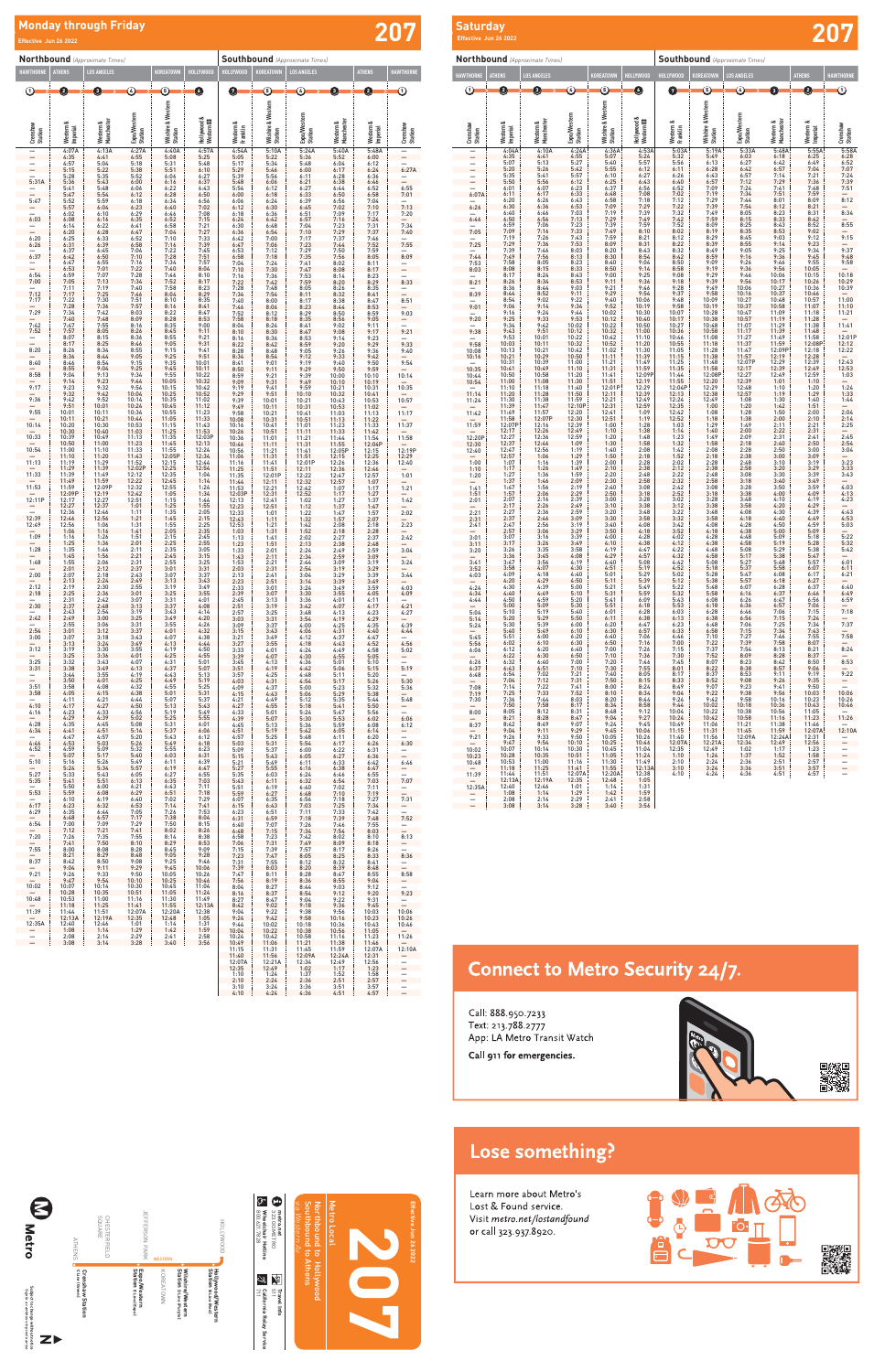### Lose something?

Learn more about Metro's Lost & Found service. Visit metro.net/lostandfound or call 323.937.8920.

| 2<br><b>Netro</b>                                                      | <b>CHESTERFIELD</b><br>SQUARE<br><b>ATHENS</b> | <b>JEFFERSON PARK</b><br><b>WESTERN</b>                                                               | ᡎ<br>œ<br>800.621.7828<br>Wheelchair Hotline<br>323.GO.METRO<br>metro.net<br>HOLLYWOOD                                      | <b>N</b><br>Northbound<br>Southbound<br>Western<br>ミ<br>$\overline{5}$<br>đ | <b>Metro</b><br>Local |
|------------------------------------------------------------------------|------------------------------------------------|-------------------------------------------------------------------------------------------------------|-----------------------------------------------------------------------------------------------------------------------------|-----------------------------------------------------------------------------|-----------------------|
| Subject to change without notice<br>Supjeto a cambios sin previo aviso | C Line (Green)<br><b>Crenshaw Station</b>      | ۰<br>Wilshire/Western<br>Station p Line (Purple)<br>Expo/Western<br>Station Eline (Expo)<br>KOREATOWN | Hollywood/Western<br>Station в Line (Red)<br>差<br>$\bigcirc$<br>511<br>California Relay<br>711<br>Travel<br>info<br>Service | <b>Athens</b><br>Hollywood                                                  |                       |

 $\overline{a}$   $\overline{a}$ 

**Effective Jun 26 2022**

Effective Jun 26 2022



**207 Saturday**<br>Effective Jun 26 2022 **Southbound** *(Approximate Times)* **HOLLYWOOD KOREATOWN LOS ANGELES ATHENS HAWTHORNE Mestern & Franklin Wilshire & Western Station Exportance Creation Exportance Creation Exportance Creation Creation Creation Creation Creation Creation Creation Creation Creation Creation Creat** 5.8344 5.5344 5.444 5.444 5.544 5.644 5.644 5.644 5.644 5.644 5.644 5.644 5.644 5.644 5.644 5.644 5.644 5.644 5.644 5.644 5.644 5.644 5.644 5.644 5.644 5.644 5.644 5.644 5.644 5.644 5.644 5.644 5.644 5.644 5.644 5.644 5  $\overline{0}$  6  $\rightarrow$  6  $\rightarrow$  6 **Northbound** *(Approximate Times)* **HAWTHORNE ATHENS LOS ANGELES KOREATOWN HOLLYWOOD Crenshaw Station Western & Imperial Western & Manchester Expo/Western Station Wilshire & Western Station Hollywood & Western**  D — 4:04A 4:10A 4:24A 4:36A 4:53A — 4:35 4:41 4:55 5:07 5:24 — 5:07 5:13 5:27 5:40 5:57 — 5:20 5:26 5:42 5:55 6:12 — 5:35 5:41 5:57 6:10 6:27 — 5:50 5:56 6:12 6:25 6:43 — 6:01 6:07 6:23 6:37 6:56 6:07A 6:11 6:17 6:33 6:48 7:08 — 6:20 6:26 6:43 6:58 7:18 6:26 6:30 6:36 6:53 7:09 7:29 — 6:40 6:46 7:03 7:19 7:39 6:46 6:50 6:56 7:13 7:29 7:49 — 6:59 7:06 7:23 7:39 7:59 7:05 7:09 7:16 7:33 7:49 8:10 — 7:19 7:26 7:43 7:59 8:21 7:25 7:29 7:36 7:53 8:09 8:31 — 7:39 7:46 8:03 8:20 8:43 7:44 7:49 7:56 8:13 8:30 8:54 7:53 7:58 8:05 8:23 8:40 9:04 8:03 8:08 8:15 8:33 8:50 9:14 — 8:17 8:24 8:43 9:00 9:25 8:21 8:26 8:34 8:53 9:11 9:36 — 8:36 8:44 9:03 9:21 9:46 8:39 8:44 8:52 9:11 9:29 9:54 — 8:54 9:02 9:22 9:40 10:06 9:01 9:06 9:14 9:34 9:52 10:19 — 9:16 9:24 9:44 10:02 10:30 9:20 9:25 9:33 9:53 10:12 10:40 — 9:34 9:42 10:02 10:22 10:50 9:38 9:43 9:51 10:12 10:32 11:00 — 9:53 10:01 10:22 10:42 11:10 9:58 10:03 10:11 10:32 10:52 11:20 10:08 10:13 10:21 10:42 11:02 11:30 10:16 10:21 10:29 10:50 11:11 11:39 — 10:31 10:39 11:00 11:21 11:49 10:35 10:41 10:49 11:10 11:31 11:59 10:44 10:50 10:58 11:20 11:41 12:09P 10:54 11:00 11:08 11:30 11:51 12:19 — 11:10 11:18 11:40 12:01P 12:29 11:14 11:20 11:28 11:50 12:11 12:39 11:24 11:30 11:38 11:59 12:21 12:49 — 11:39 11:47 12:10P 12:31 12:59 11:42 11:49 11:57 12:20 12:41 1:09 — 11:58 12:07P 12:30 12:51 1:19 11:59 12:07P 12:16 12:39 1:00 1:28 — 12:17 12:26 12:49 1:10 1:38 12:20P 12:27 12:36 12:59 1:20 1:48 12:30 12:37 12:46 1:09 1:30 1:58 12:40 12:47 12:56 1:19 1:40 2:08 — 12:57 1:06 1:29 1:50 2:18 1:00 1:07 1:16 1:39 2:00 2:28 1:10 1:17 1:26 1:49 2:10 2:38 1:20 1:27 1:36 1:59 2:20 2:48 — 1:37 1:46 2:09 2:30 2:58 1:41 1:47 1:56 2:19 2:40 3:08 1:51 1:57 2:06 2:29 2:50 3:18 2:01 2:07 2:16 2:39 3:00 3:28 — 2:17 2:26 2:49 3:10 3:38 2:21 2:27 2:36 2:59 3:20 3:48 2:31 2:37 2:46 3:09 3:30 3:58 2:41 2:47 2:56 3:19 3:40 4:08 — 2:57 3:06 3:29 3:50 4:18 3:01 3:07 3:16 3:39 4:00 4:28 3:11 3:17 3:26 3:49 4:10 4:38 3:20 3:26 3:35 3:58 4:19 4:47 — 3:36 3:45 4:08 4:29 4:57 3:41 3:47 3:56 4:19 4:40 5:08 3:52 3:58 4:07 4:30 4:51 5:19 4:03 4:09 4:18 4:40 5:01 5:29 — 4:20 4:29 4:50 5:11 5:39 4:24 4:30 4:39 5:00 5:21 5:49 4:34 4:40 4:49 5:10 5:31 5:59 4:44 4:50 4:59 5:20 5:41 6:09 — 5:00 5:09 5:30 5:51 6:18 5:04 5:10 5:19 5:40 6:01 6:28 5:14 5:20 5:29 5:50 6:11 6:38 5:24 5:30 5:39 6:00 6:20 6:47 — 5:40 5:49 6:10 6:30 6:57 5:45 5:51 6:00 6:20 6:40 7:06 5:56 6:02 6:10 6:30 6:50 7:16 6:06 6:12 6:20 6:40 7:00 7:26 — 6:22 6:30 6:50 7:10 7:36 6:26 6:32 6:40 7:00 7:20 7:46 6:37 6:43 6:51 7:10 7:30 7:55 6:48 6:54 7:02 7:21 7:40 8:05 — 7:04 7:12 7:31 7:50 8:15 7:08 7:14 7:22 7:41 8:00 8:24 7:19 7:25 7:33 7:52 8:10 8:34 7:30 7:36 7:44 8:03 8:20 8:44 — 7:50 7:58 8:17 8:34 8:58 8:00 8:05 8:12 8:31 8:48 9:12 — 8:21 8:28 8:47 9:04 9:27 8:37 8:42 8:49 9:07 9:24 9:45 — 9:04 9:11 9:29 9:45 10:06 9:21 9:26 9:33 9:50 10:05 10:26 — 9:47 9:54 10:10 10:25 10:46 10:02 10:07 10:14 10:30 10:45 11:04 10:23 10:28 10:35 10:51 11:05 11:24 10:48 10:53 11:00 11:16 11:30 11:49 — 11:18 11:25 11:41 11:55 12:13A 11:39 11:44 11:51 12:07A 12:20A 12:38 0 <del>- 0 - 0 - 0 - 0 - 0 | 0 - 0 + 0 - 0 - 0 - 0 -</del> **Effective Jun 26 2022**

|        | 12:13A | 12:19A | 12:35 | 12:48 | 1:05 |
|--------|--------|--------|-------|-------|------|
| 12:35A | 12:40  | 12:46  | 1:01  | 1:14  | 1:31 |
|        | 1:08   | 1:14   | 1:29  | 1:42  | 1:59 |
|        | 2:08   | 2:14   | 2:29  | 2:41  | 2:58 |
|        | 3:08   | 3:14   | 3:28  | 3:40  | 3:56 |

### **Connect to Metro Security 24/7.**

Call: 888.950.7233 Text: 213.788.2777 App: LA Metro Transit Watch

Call 911 for emergencies.



**Effective Jun 26 2005 Effective Jun 26 2022**

| <b>Northbound</b> (Approximate Times)    |                                                                                                                                |                                                                                                           |                                                                                                                                                            |                                                                                                     | <b>Southbound</b> (Approximate Times)  |                                                                                                     |                                                                                     |                                                                             |                                                                                                                              |                                                                                                     |                                     |
|------------------------------------------|--------------------------------------------------------------------------------------------------------------------------------|-----------------------------------------------------------------------------------------------------------|------------------------------------------------------------------------------------------------------------------------------------------------------------|-----------------------------------------------------------------------------------------------------|----------------------------------------|-----------------------------------------------------------------------------------------------------|-------------------------------------------------------------------------------------|-----------------------------------------------------------------------------|------------------------------------------------------------------------------------------------------------------------------|-----------------------------------------------------------------------------------------------------|-------------------------------------|
| <b>HAWTHORNE</b>                         | <b>ATHENS</b>                                                                                                                  | <b>LOS ANGELES</b>                                                                                        |                                                                                                                                                            | <b>KOREATOWN</b>                                                                                    | HOLLYWOOD                              | <b>HOLLYWOOD</b>                                                                                    | KOREATOWN                                                                           | <b>LOS ANGELES</b>                                                          |                                                                                                                              | <b>ATHENS</b>                                                                                       | <b>HAWTHORNE</b>                    |
| $\odot$                                  | 0                                                                                                                              | 0                                                                                                         | $\odot$                                                                                                                                                    | ⑤                                                                                                   | $\bullet$                              | Ø                                                                                                   | ⑤                                                                                   | ④                                                                           | 0                                                                                                                            | 0                                                                                                   | $\rm \odot$                         |
|                                          |                                                                                                                                |                                                                                                           |                                                                                                                                                            | Wilshire & Western<br>Station                                                                       |                                        |                                                                                                     | Wilshire & Western<br>Station                                                       |                                                                             |                                                                                                                              |                                                                                                     |                                     |
|                                          |                                                                                                                                |                                                                                                           | Expo/Western<br>Station                                                                                                                                    |                                                                                                     | Hollywood &<br>Western <b>D</b>        |                                                                                                     |                                                                                     | Expo/Western<br>Station                                                     |                                                                                                                              |                                                                                                     |                                     |
| Crenshaw<br>Station                      | Western &<br>Imperial                                                                                                          | Western &<br>Manchester                                                                                   |                                                                                                                                                            |                                                                                                     |                                        | Western &<br>Franklin                                                                               |                                                                                     |                                                                             | Western &<br>Manchester                                                                                                      | Western &<br>Imperial                                                                               | Crenshaw<br>Station                 |
| $\equiv$                                 |                                                                                                                                | 4:13A<br>4:41                                                                                             | 4:27A<br>4:55                                                                                                                                              | $\frac{4:40A}{5:08}$                                                                                | $4:57A$<br>$5:25$<br>$5:48$            | $4:54A$<br>$5:05$                                                                                   |                                                                                     | 5:24A<br>5:36                                                               | 5:40A<br>5:52                                                                                                                | 5:48A<br>6:00                                                                                       | $\equiv$                            |
|                                          | 4:07A<br>4:35<br>4:57<br>5:15                                                                                                  | $\frac{5:04}{5:22}$                                                                                       | $5:18$<br>$5:38$<br>$5:52$<br>$6:00$<br>$6:06$<br>$6:12$                                                                                                   | $\frac{5:31}{5:51}$                                                                                 | 6:10                                   | 5:17<br>5:29                                                                                        | $5:10A$<br>$5:22$<br>$5:34$<br>$5:46$                                               | $5:48$<br>$6:00$                                                            | $6:04$<br>$6:17$                                                                                                             | $6:12$<br>$6:24$                                                                                    | $-$<br>6:27A                        |
| $\frac{-}{5:31A}$                        | 5:28<br>5:36<br>5:41<br>5:47                                                                                                   | 5:35<br>5:43<br>5:48<br>5:54<br>5:59                                                                      |                                                                                                                                                            | 6:06                                                                                                | $6:27$<br>$6:37$<br>$6:43$<br>$6:50$   | 5:39<br>5:48<br>5:54<br>6:00                                                                        | 5:56<br>$6:06$<br>$6:12$                                                            |                                                                             | $6:28$<br>$6:38$<br>$6:44$<br>$6:50$<br>$6:56$                                                                               | $6:36$<br>$6:46$<br>$6:52$                                                                          | 6:55                                |
| 5:47                                     |                                                                                                                                |                                                                                                           |                                                                                                                                                            | $6:16$<br>$6:22$<br>$6:28$<br>$6:34$                                                                | 6:56                                   |                                                                                                     | $6:18$<br>$6:24$<br>$6:30$                                                          |                                                                             |                                                                                                                              | 6:58                                                                                                | 7:01                                |
| $\frac{-}{6:03}$                         | $5:52$<br>$5:57$<br>$6:02$<br>$6:08$                                                                                           |                                                                                                           | $6:18$<br>$6:23$<br>$6:29$<br>$6:35$                                                                                                                       | 6:40                                                                                                | 7:02<br>$7:08$<br>$7:15$               | $6:06$<br>$6:12$                                                                                    | $6:36$<br>$6:42$                                                                    | $6:21$<br>$6:27$<br>$6:33$<br>$6:39$<br>$6:45$<br>$6:51$<br>$6:57$          | $7:02$<br>$7:09$<br>$7:16$                                                                                                   | $7:04$<br>$7:10$<br>$7:17$<br>$7:24$<br>$7:31$<br>$7:37$                                            | $\frac{-}{7:13}$<br>7:20            |
|                                          | 6:14<br>6:20                                                                                                                   | $\begin{array}{l} 6:04\\ 6:10\\ 6:16\\ 6:22\\ 6:28\\ 6:33\\ 6:39\\ 6:45\\ 6:50\\ 6:55\\ 7:01 \end{array}$ |                                                                                                                                                            | $6:46$<br>$6:52$<br>$6:58$<br>$7:04$                                                                | $7:21$<br>$7:27$                       | $6:18$<br>$6:24$<br>$6:30$<br>$6:36$                                                                | $6:48$<br>$6:54$                                                                    |                                                                             | $7:23$<br>$7:29$                                                                                                             |                                                                                                     | 7:34<br>7:40                        |
| 6:20<br>6:26                             |                                                                                                                                |                                                                                                           | $6:47$<br>$6:47$<br>$6:52$<br>$6:58$<br>$7:04$<br>$7:10$                                                                                                   |                                                                                                     |                                        |                                                                                                     | 7:00                                                                                | 7:04<br>7:10<br>7:17<br>7:23<br>7:29<br>7:35<br>7:41<br>7:53<br>7:59        |                                                                                                                              | $7:46$<br>$7:52$<br>$7:59$<br>8:05                                                                  | 7:55                                |
| 6:37                                     |                                                                                                                                |                                                                                                           |                                                                                                                                                            | $7:10$<br>$7:16$<br>$7:22$<br>$7:28$                                                                | 7:33<br>7:39<br>7:45<br>7:51<br>7:57   |                                                                                                     |                                                                                     |                                                                             | 7:37<br>7:44<br>7:50<br>7:56                                                                                                 |                                                                                                     | 8:09                                |
|                                          | $\begin{array}{l} 6:25 \\ 6:31 \\ 6:42 \\ 7:59 \\ 6:44 \\ 7:59 \\ 7:11 \\ 7:12 \\ 7:28 \\ 7:40 \\ 7:57 \\ 7:57 \\ \end{array}$ |                                                                                                           | 7:16<br>7:22<br>7:28<br>7:34<br>7:40<br>7:51<br>7:57                                                                                                       | 7:34<br>7:40                                                                                        | 8:04<br>8:10                           | $\begin{array}{l} 6:42 \\ 6:47 \\ 6:53 \\ 6:58 \\ 7:04 \\ 7:10 \\ 7:16 \\ 7:22 \\ 7:28 \end{array}$ | 7:06<br>7:12<br>7:18<br>7:24<br>7:30<br>7:36<br>7:42                                |                                                                             | 8:02<br>8:08                                                                                                                 | $8:11$<br>$8:17$<br>$8:23$<br>$8:29$                                                                | $\equiv$                            |
| $6:54$<br>$7:00$                         |                                                                                                                                |                                                                                                           |                                                                                                                                                            | $7:46$<br>$7:52$<br>7:58                                                                            | 8:17<br>8:23                           |                                                                                                     | $7:48$<br>$7:54$                                                                    | 8:05                                                                        | $8:14$<br>$8:20$<br>$8:26$<br>$8:32$                                                                                         | 8:35                                                                                                | $\frac{1}{8:33}$                    |
| 7:12<br>7:17                             |                                                                                                                                |                                                                                                           |                                                                                                                                                            | $8:04$<br>$8:10$                                                                                    | 8:29<br>8:35                           | 7:34                                                                                                | 8:00                                                                                | 8:11                                                                        | 8:38                                                                                                                         | 8:41                                                                                                | 8:51                                |
| 7:29                                     |                                                                                                                                |                                                                                                           | $8:03$<br>$8:09$                                                                                                                                           | 8:16<br>$8:22$<br>$8:28$                                                                            | 8:41<br>$8:47$<br>$8:53$               | 7:40<br>7:46<br>7:52<br>7:58                                                                        | $\begin{array}{l} 8:06 \\ 8:12 \\ 8:18 \\ 8:24 \\ 8:30 \\ 8:36 \\ 8:42 \end{array}$ | 8:17<br>8:23<br>8:29<br>8:35<br>8:41<br>8:47<br>8:53<br>8:59                | $8:44$<br>$8:50$                                                                                                             | 8:47<br>8:53<br>8:59<br>9:05                                                                        | 9:03                                |
| 7:42<br>7:52                             |                                                                                                                                |                                                                                                           | $8:16$<br>$8:26$                                                                                                                                           | 8:35<br>8:45                                                                                        | $9:00$<br>$9:11$                       | 8:04<br>8:10                                                                                        |                                                                                     |                                                                             | $8:56$<br>$9:02$<br>9:08                                                                                                     | $9:11$<br>$9:17$<br>$9:23$<br>$9:29$                                                                | $\frac{1}{9:21}$                    |
|                                          | $8:07$<br>$8:17$                                                                                                               |                                                                                                           | 8:36                                                                                                                                                       | $8:55$<br>$9:05$<br>$9:15$                                                                          | $9:21$<br>$9:31$                       | 8:16<br>8:22<br>8:28                                                                                |                                                                                     |                                                                             | $9:14$<br>$9:20$<br>$9:26$<br>$9:33$                                                                                         |                                                                                                     | $\frac{1}{9:33}$                    |
| 8:20<br>8:40                             | $8:26$<br>$8:36$<br>8:46                                                                                                       |                                                                                                           |                                                                                                                                                            |                                                                                                     | $9:41$<br>$9:51$<br>$10:01$<br>$10:11$ | 8:34                                                                                                | $8:48$<br>$8:54$                                                                    | 9:05<br>9:12                                                                |                                                                                                                              | 9:36<br>9:42                                                                                        | 9:40<br>9:54                        |
| 8:58                                     | 8:55                                                                                                                           |                                                                                                           |                                                                                                                                                            | $9:25$<br>$9:35$<br>$9:45$<br>$9:55$<br>$10:05$                                                     | 10:22                                  | 8:41<br>8:50<br>8:59<br>9:09<br>9:19                                                                | $9:01$<br>$9:11$<br>$9:21$<br>$9:31$<br>$9:31$<br>$9:41$                            | $9:19$<br>$9:29$<br>$9:39$<br>$9:49$                                        |                                                                                                                              | $9:50$<br>$9:59$<br>$10:10$<br>$10:31$<br>$10:31$                                                   | 10:14                               |
| 9:17                                     | $9:04$<br>$9:14$<br>$9:23$<br>$9:32$                                                                                           |                                                                                                           |                                                                                                                                                            |                                                                                                     | 10:32                                  |                                                                                                     |                                                                                     |                                                                             |                                                                                                                              |                                                                                                     | 10:35                               |
| 9:36                                     | 9:42                                                                                                                           |                                                                                                           | $\begin{array}{l} 8:46 \\ 8:55 \\ 9:05 \\ 9:15 \\ 9:25 \\ 9:34 \\ 9:44 \\ 9:54 \\ 10:04 \\ 10:14 \\ 10:24 \\ 10:34 \\ 10:44 \\ 10:53 \\ 11:03 \end{array}$ | $\begin{array}{c} 10:15 \\ 10:25 \\ 10:35 \\ 10:45 \\ 10:55 \\ 11:05 \\ 11:15 \\ 11:25 \end{array}$ | 10:42<br>10:52<br>11:02<br>11:12       | $9:29$<br>9:39<br>9:49<br>9:58<br>10:08                                                             | $9:51$<br>$10:01$<br>$10:11$<br>$10:21$<br>$10:31$<br>$10:41$<br>$10:51$            | 9:47<br>9:59<br>10:21<br>10:21<br>10:31<br>10:41<br>11:01<br>11:11<br>11:11 | $\begin{array}{c} 9:40 \\ 9:50 \\ 10:00 \\ 10:11 \\ 10:21 \\ 10:24 \\ 10:32 \\ 11:33 \\ 11:13 \\ 11:23 \\ 11:33 \end{array}$ | $\begin{array}{r} 10:31 \\ 10:41 \\ 11:53 \\ 11:02 \\ 11:13 \\ 11:22 \\ 11:33 \\ 14:63 \end{array}$ | 10:57                               |
| 9:55                                     | $9:51$<br>10:01<br>10:11<br>10:20                                                                                              | $10:01$<br>$10:11$<br>$10:21$<br>$10:30$<br>$10:40$                                                       |                                                                                                                                                            |                                                                                                     | $11:23$<br>$11:33$<br>$11:43$          |                                                                                                     |                                                                                     |                                                                             |                                                                                                                              |                                                                                                     | 11:17                               |
| 10:14<br>10:33                           | 10:30<br>10:39                                                                                                                 | 10:49                                                                                                     | 11:13                                                                                                                                                      | 11:35                                                                                               | 11:53<br>12:03P                        | 10:16<br>10:26                                                                                      |                                                                                     |                                                                             |                                                                                                                              | 11:42                                                                                               | 11:37                               |
| 10:54                                    | 10:50<br>11:00                                                                                                                 | 11:00                                                                                                     | 11:23                                                                                                                                                      | 11:45<br>11:55                                                                                      | 12:13<br>12:24                         | 10:36<br>10:46<br>10:56                                                                             | 11:01<br>11:11<br>11:21                                                             | 11:21<br>11:31<br>11:41                                                     | 11:44<br>11:55<br>12:05P                                                                                                     | 11:54<br>12:04P                                                                                     | 11:58<br>12:19P                     |
| 11:13                                    | 11:10<br>11:19                                                                                                                 | 11:10<br>11:20<br>11:29                                                                                   | 11:33<br>11:43<br>$11:52$<br>$12:02P$                                                                                                                      | 12:05P<br>12:15                                                                                     | 12:34<br>$12:44$<br>$12:54$            | 11:06<br>$11:16$<br>$11:25$                                                                         | 11:31<br>11:41                                                                      | 11:51<br>12:01P                                                             | 12:15<br>12:26<br>12:36                                                                                                      | $12:15$<br>$12:25$                                                                                  | 12:29<br>12:40                      |
| 11:33                                    | 11:29<br>11:39<br>11:49                                                                                                        | 11:39<br>11:49<br>11:59<br>12:09P                                                                         | $\begin{array}{r} 12:12 \\ 12:22 \\ 12:32 \end{array}$                                                                                                     | 12:25<br>12:35<br>12:45                                                                             | 1:04<br>1:14                           | $\frac{11:35}{11:44}$                                                                               | 11:51<br>12:01P<br>12:11                                                            | 12:11<br>$\frac{12:22}{12:32}$                                              | $\frac{12:47}{12:57}$                                                                                                        |                                                                                                     | $\frac{-}{1:01}$                    |
| 11:53                                    | 11:59<br>12:09P                                                                                                                | 12:19                                                                                                     | 12:42                                                                                                                                                      | 12:55<br>1:05                                                                                       | 1:24<br>1:34                           | 11:53<br>12:03P                                                                                     | 12:21<br>12:31                                                                      | 12:42<br>12:52                                                              | $\frac{1:07}{1:17}$                                                                                                          |                                                                                                     | $-$<br>1:21<br>$-$                  |
| 12:11P                                   | 12:17<br>12:27                                                                                                                 | 12:27<br>12:37                                                                                            | 12:51<br>1:01                                                                                                                                              | 1:15<br>1:25                                                                                        | $1:44$<br>$1:55$                       | 12:13<br>$\frac{12:23}{12:33}$                                                                      | $12:41$<br>$12:51$                                                                  | 1:02<br>1:12                                                                | $\frac{1:27}{1:37}$                                                                                                          |                                                                                                     | 1:42<br>$-$                         |
| 12:39<br>12:49                           | 12:36<br>12:46<br>12:56                                                                                                        | 12:46<br>12:56<br>1:06                                                                                    | $\frac{1:11}{1:21}$<br>1:31                                                                                                                                | 1:35<br>1:45<br>1:55                                                                                | 2:05<br>2:15                           | $12:43$<br>$12:53$<br>$1:03$                                                                        | 1:01<br>1:11                                                                        | 1:22<br>1:32<br>1:42                                                        | $1:47$<br>$1:57$                                                                                                             |                                                                                                     | 2:02<br>$-$<br>2:23                 |
| 1:09                                     | 1:06<br>1:16                                                                                                                   | 1:16<br>1:26                                                                                              | 1:41<br>1:51                                                                                                                                               | $2:05$<br>$2:15$                                                                                    | $2:25$<br>$2:35$<br>$2:45$             | $1:13$<br>$1:23$                                                                                    | $1:21$<br>$1:31$<br>1:41                                                            | 1:52<br>2:02                                                                | $2:08$<br>$2:18$<br>$2:27$<br>$2:38$                                                                                         |                                                                                                     | $\frac{-}{2:42}$                    |
| 1:28                                     | 1:25<br>1:35                                                                                                                   | 1:36<br>1:46                                                                                              | 2:01<br>2:11                                                                                                                                               | 2:25<br>2:35                                                                                        | 2:55<br>3:05                           | $\frac{1:33}{1:43}$                                                                                 | 1:51<br>2:01                                                                        | 2:13<br>2:24                                                                | $2:49$<br>$2:59$                                                                                                             |                                                                                                     | $-$<br>3:04                         |
| 1:48                                     | 1:45<br>1:55<br>2:01                                                                                                           | 1:56<br>2:06<br>2:12                                                                                      | 2:21<br>2:31<br>2:37                                                                                                                                       | 2:45<br>2:55<br>3:01                                                                                | 3:15<br>3:25<br>3:31                   | 1:53<br>2:03                                                                                        | $2:11$<br>$2:21$<br>$2:31$                                                          | 2:34<br>2:44<br>2:54                                                        | 3:09<br>3:19                                                                                                                 |                                                                                                     | $-$<br>3:24<br>$-$                  |
| 2:00                                     | 2:07<br>2:13                                                                                                                   | 2:18<br>2:24                                                                                              | 2:43<br>2:49                                                                                                                                               | 3:07<br>3:13                                                                                        | $3:37$<br>$3:43$                       | 2:13                                                                                                | 2:41<br>2:51                                                                        | 3:04<br>3:14                                                                | 3:29<br>3:39                                                                                                                 |                                                                                                     | 3:44<br>$ \,$                       |
| 2:12<br>2:18                             | 2:19<br>2:25                                                                                                                   | 2:30<br>2:36                                                                                              | 2:55<br>3:01                                                                                                                                               | 3:19<br>3:25                                                                                        | 3:49<br>3:55                           | 2:23<br>2:33<br>2:39<br>2:45                                                                        | 3:01<br>3:07                                                                        | $3:24$<br>$3:30$                                                            | $3:49$<br>$3:55$                                                                                                             |                                                                                                     | 4:03<br>4:09                        |
| 2:30                                     | $2:31$<br>$2:37$<br>2:43                                                                                                       | $2:42$<br>$2:48$<br>$2:54$                                                                                | 3:07<br>$3:13$<br>$3:19$                                                                                                                                   | 3:31<br>3:37                                                                                        | 4:01<br>4:08<br>4:14                   | 2:51<br>2:57                                                                                        | $3:13$<br>$3:19$<br>$3:25$                                                          | $3:36$<br>$3:42$<br>$3:48$<br>$3:54$                                        | 4:01<br>4:07<br>4:13                                                                                                         |                                                                                                     | —<br>4:21<br>4:27                   |
| 2:42<br>$\overline{\phantom{0}}$         | 2:49<br>2:55                                                                                                                   | 3:00<br>3:06                                                                                              | 3:25<br>3:31                                                                                                                                               | $3:43$<br>$3:49$<br>3:55                                                                            | 4:20<br>4:26                           | 3:03<br>3:09                                                                                        | $3:31$<br>$3:37$<br>$3:43$<br>$3:49$<br>$3:55$                                      | 4:00                                                                        | 4:19<br>4:25                                                                                                                 | $4:11$<br>$4:23$<br>$4:29$<br>$4:35$<br>$4:40$<br>$4:47$                                            | $\equiv$<br>4:39                    |
| 2:54<br>3:00<br>$-$                      | 3:01<br>3:07<br>3:13                                                                                                           | 3:12<br>3:18<br>3:24                                                                                      | 3:37<br>$3:43$<br>$3:49$                                                                                                                                   | 4:01<br>4:07<br>4:13                                                                                | 4:32<br>4:38<br>4:44                   | 3:15<br>3:21<br>3:27                                                                                |                                                                                     | 4:06<br>4:12<br>4:18                                                        | 4:31<br>$4:37$<br>$4:43$                                                                                                     | 4:52                                                                                                | 4:44<br>$\frac{-}{4:56}$            |
| 3:12                                     | 3:19<br>3:25                                                                                                                   | 3:30<br>3:36                                                                                              | 3:55<br>4:01                                                                                                                                               | 4:19<br>4:25                                                                                        | 4:50<br>4:55                           | $3:33$<br>$3:39$                                                                                    | $4:01$<br>$4:07$                                                                    | $4:24$<br>$4:30$                                                            | 4:49<br>4:55                                                                                                                 | $4:58$<br>$5:05$                                                                                    | 5:02                                |
| 3:25<br>3:31                             | 3:32<br>3:38                                                                                                                   | $3:43$<br>$3:49$<br>$3:55$                                                                                | 4:07                                                                                                                                                       | 4:31<br>4:37                                                                                        | 5:01<br>5:07                           | 3:45<br>3:51                                                                                        |                                                                                     | $4:36$<br>$4:42$<br>$4:48$<br>$4:54$                                        | 5:01<br>5:06                                                                                                                 | $5:10$<br>$5:15$<br>$5:20$                                                                          | —<br>5:19                           |
| $\equiv$<br>3:51                         | 3:44<br>3:50<br>3:58                                                                                                           | 4:01<br>4:08                                                                                              | $4:13$<br>$4:19$<br>$4:25$<br>4:32                                                                                                                         | 4:43<br>4:49<br>4:55                                                                                | 5:13<br>5:19<br>5:25                   | $3:57$<br>4:03<br>4:09<br>4:15                                                                      | $4:13$<br>$4:25$<br>$4:31$<br>$4:37$<br>$4:43$<br>$4:49$                            | 5:00                                                                        | 5:11<br>5:17<br>5:23                                                                                                         | $5:26$<br>$5:32$                                                                                    | 5:30<br>5:36                        |
| 3:58<br>—                                | 4:05<br>4:11                                                                                                                   | 4:15<br>$4:21$<br>$4:27$                                                                                  | 4:38<br>$4:44$<br>$4:50$                                                                                                                                   | 5:01<br>5:07                                                                                        | 5:31<br>5:37                           | $4:21$<br>$4:27$                                                                                    |                                                                                     | 5:06<br>5:12                                                                | 5:29<br>5:35                                                                                                                 | 5:38                                                                                                | $-$<br>5:48                         |
| 4:10<br>4:16<br>$-$                      | 4:17<br>4:23<br>4:29                                                                                                           | $4:33$<br>$4:39$                                                                                          | 4:56                                                                                                                                                       | 5:13<br>5:19                                                                                        | 5:43<br>5:49<br>5:55                   | $4:33$<br>$4:39$                                                                                    | 4:55<br>$\frac{5:01}{5:07}$                                                         | 5:18<br>5:24                                                                | 5:41<br>$5:47$<br>$5:53$                                                                                                     | $5:44$<br>$5:50$<br>$5:56$<br>$6:02$                                                                | $\qquad \qquad -$<br>$rac{1}{6:06}$ |
| 4:28<br>4:34                             | 4:35<br>4:41                                                                                                                   | $4:45$<br>$4:51$<br>$4:57$                                                                                | 5:02<br>5:08                                                                                                                                               | 5:25<br>5:31<br>5:37                                                                                | 6:01<br>6:06                           | 4:45<br>4:51                                                                                        | $5:13$<br>$5:19$<br>$5:25$                                                          | 5:30                                                                        | 5:59<br>6:05                                                                                                                 |                                                                                                     | 6:12                                |
| $\overline{\phantom{0}}$<br>4:46         | 4:47<br>4:53                                                                                                                   | 5:03                                                                                                      | $5:14$<br>$5:20$<br>5:26                                                                                                                                   | 5:43<br>5:49                                                                                        | 6:12<br>6:18                           | 4:57<br>5:03                                                                                        |                                                                                     | 5:36<br>5:42<br>5:48<br>5:54                                                | 6:11<br>6:17                                                                                                                 | $6:08$<br>$6:14$<br>$6:20$<br>$6:26$<br>$6:31$                                                      | $\equiv$<br>6:30                    |
| 4:52                                     | 4:59<br>5:07                                                                                                                   | 5:09<br>5:17                                                                                              | 5:32<br>5:40                                                                                                                                               | 5:55<br>6:03                                                                                        | 6:23<br>6:31                           | $5:09$<br>$5:15$                                                                                    | $5:31$<br>$5:37$<br>$5:43$                                                          | 6:00<br>6:05                                                                | 6:22<br>6:27                                                                                                                 |                                                                                                     | $\equiv$                            |
| 5:10<br>5:27                             | 5:16<br>5:24<br>5:33                                                                                                           | 5:26<br>5:34<br>5:43                                                                                      | $5:49$<br>$5:57$<br>6:05                                                                                                                                   | 6:11<br>6:19<br>6:27                                                                                | 6:39<br>6:47<br>6:55                   | 5:21<br>$5:27$<br>$5:35$<br>$5:43$                                                                  | 5:49<br>5:55<br>6:03                                                                | 6:11<br>6:16<br>6:24                                                        | 6:33<br>6:38                                                                                                                 | $6:36$<br>$6:42$<br>$6:47$<br>$6:55$<br>$7:03$                                                      | 6:46<br>—<br>—                      |
| 5:35                                     | 5:41<br>5:50<br>5:59                                                                                                           | 5:51                                                                                                      | 6:13                                                                                                                                                       | 6:35<br>6:43                                                                                        | 7:03<br>7:11                           | 5:51                                                                                                | 6:11<br>6:19                                                                        | 6:32<br>6:40                                                                | $6:46$<br>$6:54$<br>7:02                                                                                                     |                                                                                                     | 7:07<br>$\equiv$                    |
| 5:53<br>6:17                             | 6:10<br>6:23                                                                                                                   | $6:00$<br>$6:08$<br>$6:19$<br>6:32                                                                        | $6:21$<br>$6:29$<br>$6:40$<br>6:53                                                                                                                         | 6:51<br>7:02<br>7:14                                                                                | 7:18<br>7:29<br>7:41                   | 5:59<br>6:07<br>6:15                                                                                | 6:27<br>6:35                                                                        | 6:48<br>6:56                                                                | 7:10                                                                                                                         | $7:11$<br>$7:19$<br>$7:27$<br>$7:34$<br>$7:42$<br>$7:48$                                            | 7:31                                |
| 6:29                                     | 6:35<br>6:48                                                                                                                   | $6:44$<br>$6:57$                                                                                          | $7:05$<br>$7:17$                                                                                                                                           | $7:26$<br>$7:38$                                                                                    | 7:53<br>8:04                           | $6:23$<br>$6:31$                                                                                    | $6:43$<br>$6:51$<br>$6:59$                                                          | $7:03$<br>$7:11$<br>$7:18$                                                  | 7:18<br>7:25<br>7:33<br>7:39                                                                                                 |                                                                                                     | —<br>7:52                           |
| 6:54                                     | 7:00<br>7:12                                                                                                                   | 7:09<br>7:21                                                                                              | 7:29<br>7:41                                                                                                                                               | 7:50<br>8:02                                                                                        | 8:15<br>8:26                           | 6:40<br>6:48                                                                                        | 7:07<br>7:15                                                                        | 7:26<br>7:34                                                                | 7:46<br>7:54                                                                                                                 | 7:55<br>8:03                                                                                        |                                     |
| 7:20<br>$\overline{\phantom{0}}$<br>7:55 | 7:26<br>7:41<br>8:00                                                                                                           | 7:35<br>7:50<br>8:08                                                                                      | 7:55<br>8:10<br>8:28                                                                                                                                       | 8:14<br>8:29<br>8:45                                                                                | 8:38<br>8:53<br>9:09                   | 6:58<br>7:06<br>7:15                                                                                | 7:23<br>7:31<br>7:39                                                                | 7:42<br>7:49<br>7:57                                                        | 8:02<br>8:09<br>8:17                                                                                                         | 8:10<br>8:18<br>8:26                                                                                | 8:13<br>$-$                         |
| $-$<br>8:37                              | 8:21<br>8:42                                                                                                                   | 8:29<br>8:50                                                                                              | 8:48<br>9:08                                                                                                                                               | 9:05<br>9:25                                                                                        | 9:28<br>9:46                           | 7:23<br>7:31                                                                                        | 7:47<br>7:55                                                                        | 8:05<br>8:12                                                                | 8:25<br>8:32                                                                                                                 | 8:33<br>8:41                                                                                        | 8:36                                |
| $-$<br>9:21                              | 9:04<br>9:26                                                                                                                   | 9:11<br>9:33                                                                                              | 9:29<br>9:50                                                                                                                                               | 9:45<br>10:05                                                                                       | 10:06<br>10:26                         | 7:39<br>7:47                                                                                        | 8:03<br>8:11                                                                        | 8:20<br>8:28                                                                | 8:39<br>8:47                                                                                                                 | 8:48<br>8:55                                                                                        | $\equiv$<br>8:58                    |
| $-$<br>10:02<br>$-$                      | 9:47<br>10:07<br>10:28                                                                                                         | 9:54<br>10:14<br>10:35                                                                                    | 10:10<br>10:30<br>10:51                                                                                                                                    | 10:25<br>10:45<br>11:05                                                                             | 10:46<br>11:04<br>11:24                | 7:56<br>8:04<br>8:16                                                                                | 8:19<br>8:27<br>8:37                                                                | 8:36<br>8:44<br>8:54                                                        | 8:55<br>9:03<br>9:12                                                                                                         | 9:04<br>9:12<br>9:20                                                                                | $\equiv$<br>9:23                    |
| 10:48<br>$-$                             | 10:53<br>11:18                                                                                                                 | 11:00<br>11:25                                                                                            | 11:16<br>11:41                                                                                                                                             | 11:30<br>11:55                                                                                      | 11:49<br>12:13A                        | 8:27<br>8:42                                                                                        | 8:47<br>9:02                                                                        | 9:04<br>9:18                                                                | 9:22<br>9:36                                                                                                                 | 9:31<br>9:45                                                                                        | $\mathbb{Z}^+$                      |
| 11:39<br>$-$                             | 11:44<br>12:13A                                                                                                                | 11:51<br>12:19A                                                                                           | 12:07A<br>12:35                                                                                                                                            | 12:20A<br>12:48                                                                                     | 12:38<br>1:05                          | 9:04<br>9:24                                                                                        | 9:22<br>9:42                                                                        | 9:38<br>9:58                                                                | 9:56<br>10:16                                                                                                                | 10:03<br>10:23                                                                                      | 10:06<br>10:26                      |
| 12:35A<br>$\qquad \qquad -$              | 12:40<br>1:08<br>2:08                                                                                                          | 12:46<br>1:14<br>2:14                                                                                     | 1:01<br>1:29<br>2:29                                                                                                                                       | 1:14<br>1:42<br>2:41                                                                                | 1:31<br>1:59<br>2:58                   | 9:44<br>10:04<br>10:24                                                                              | 10:02<br>10:22<br>10:42                                                             | 10:18<br>10:38<br>10:58                                                     | 10:36<br>10:56<br>11:16                                                                                                      | 10:43<br>11:05<br>11:23                                                                             | 10:46<br>$-$<br>11:26               |
|                                          | 3:08                                                                                                                           | 3:14                                                                                                      | 3:28                                                                                                                                                       | 3:40                                                                                                | 3:56                                   | 10:49<br>11:15                                                                                      | 11:06<br>11:31                                                                      | 11:21<br>11:45                                                              | 11:38<br>11:59                                                                                                               | 11:46<br>12:07A                                                                                     | $\overline{\phantom{0}}$<br>12:10A  |
|                                          |                                                                                                                                |                                                                                                           |                                                                                                                                                            |                                                                                                     |                                        | 11:40<br>12:07A                                                                                     | 11:56<br>12:21A<br>12:49                                                            | 12:09A<br>12:34                                                             | 12:24A<br>12:49                                                                                                              | 12:31<br>12:56                                                                                      | $\qquad \qquad -$                   |
|                                          |                                                                                                                                |                                                                                                           |                                                                                                                                                            |                                                                                                     |                                        | 12:35<br>1:10<br>2:10                                                                               | 1:24<br>2:24                                                                        | 1:02<br>1:37<br>2:36                                                        | 1:17<br>1:52<br>2:51                                                                                                         | 1:23<br>1:58<br>2:57                                                                                | $\equiv$                            |
|                                          |                                                                                                                                |                                                                                                           |                                                                                                                                                            |                                                                                                     |                                        | 3:10<br>4:10                                                                                        | 3:24<br>4:24                                                                        | 3:36<br>4:36                                                                | 3:51<br>4:51                                                                                                                 | 3:57<br>4:57                                                                                        | $\equiv$                            |

## **207 Monday through Friday**